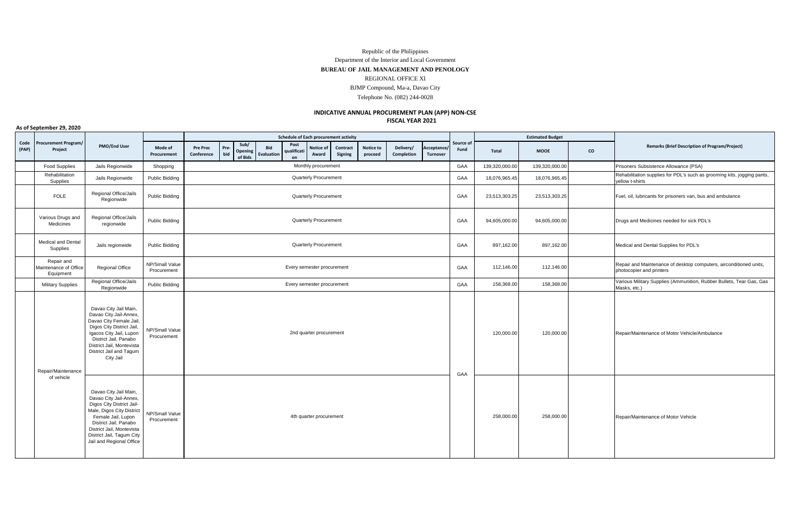## Republic of the Philippines Department of the Interior and Local Government **BUREAU OF JAIL MANAGEMENT AND PENOLOGY** REGIONAL OFFICE XI BJMP Compound, Ma-a, Davao City Telephone No. (082) 244-0028

## **FISCAL YEAR 2021 INDICATIVE ANNUAL PROCUREMENT PLAN (APP) NON-CSE**

**Mode of Procurement Pre Proc Conference Prebid Sub/ Opening of Bids Bid Evaluatio Post qualificati on Notice of Award Contract Signing Notice to proceed Delivery/ Completion Acceptance/ Turnover Total MOOE CO** Food Supplies Jails Regionwide Shopping Subsistence (PSA) Monthly procurement Monthly procurement GAA 139,320,000.00 139,320,000.00 Prisoners Subsistence Allowance (PSA) Rehabilitation<br>Supplies Anabilitation Jails Regionwide Public Bidding Cublic Bidding GAA Duanterly Procurement Cuanterly Procurement Canadillar and the supplies and the such as grooming kits, jogging pants, the Supplies of PDL's such as grooming ellow t-shirts FOLE Regional Office/Jails<br>
Regionwide Public Bidding **Public Bidding Transformat** Cuarterly Procurement Cuarterly Procurement Cuarterly Procurement Cuarterly Procurement Cuarterly Procurement Cuarterly and ambulance Various Drugs and Medicines Regional Office/Jails regionwide Public Bidding GAA 94,605,000.00 94,605,000.00 Drugs and Medicines needed for sick PDL's Medical and Dental<br>Supplies Supplies Jails regionwide Public Bidding GAA Bunder (Medical and Dental Supplies for PDL's Control of Dental Supplies for PDL's Control of Supplies for PDL's Control of Supplies for PDL's Control of Supplies for PDL's Cont Repair and Maintenance of Office Equipment Regional Office NP/Small Value P/Small Value Repair and Maintenance of desktop computers, airconditioned units,<br>Procurement photocopier and printers photocopier and printers photocopier and printers photocopier and printers photocopier and printers Military Supplies Regional Office/Jails onal Office/Jails Public Bidding Public Bidding Cases are being being being being being the Supplies (Ammunition, Rubber Bullets, Tear Gas, Gas<br>Regionwide Masks, etc.) Masks, etc.) Masks, etc.) Masks, etc.) Masks, etc.) Ma Masks, etc.) Davao City Jail Main, Davao City Jail-Annex, Davao City Female Jail, Digos City District Jail, Igacos City Jail, Lupon District Jail, Panabo District Jail, Montevista District Jail and Tagum City Jail NP/Small Value Procurement 2nd quarter procurement 120,000.00 120,000.00 120,000.00 Repair/Maintenance of Motor Vehicle/Ambulance 2nd quarter procurement 120,000.00 120,000.00 Repair/Maintenance of Motor Vehicle/Ambulance Davao City Jail Main, Davao City Jail-Annex, Digos City District Jail-Male, Digos City District Female Jail, Lupon District Jail, Panabo District Jail, Montevista District Jail, Tagum City Jail and Regional Office NP/Small Value rivinual value and the definition of Motor Vehicle 258,000.00 258,000.00 258,000.00 Repair/Maintenance of Motor Vehicle 258,000 258,000 Repair/Maintenance of Motor Vehicle Every semester procurement Repair/Maintenance of vehicle 2nd quarter procurement Quarterly Procurement Quarterly Procurement Every semester procurement **Code (PAP) Procurement Program/ Project PMO/End User Schedule of Each procurement activity Source** o **Fund Estimated Budget Remarks (Brief Description of Program/Project)** GAA 4th quarter procurement Monthly procurement Quarterly Procurement Quarterly Procurement

**As of September 29, 2020**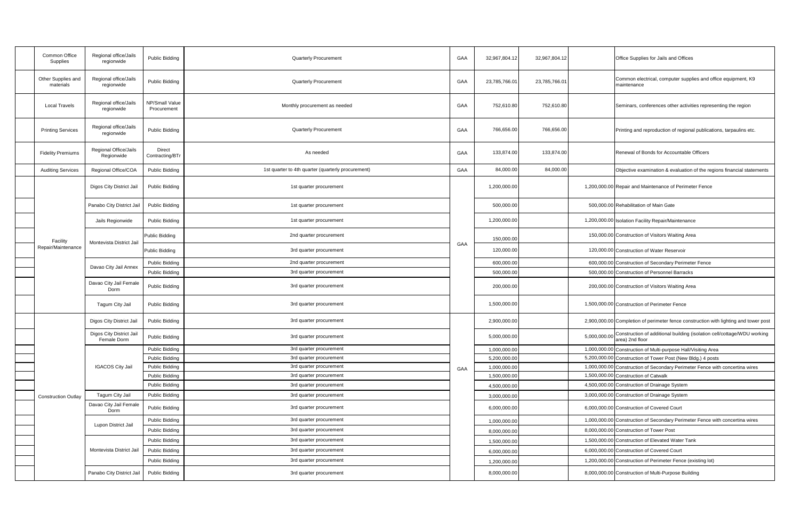|  | Common Office<br>Supplies       | Regional office/Jails<br>regionwide     | Public Bidding                | Quarterly Procurement                              | GAA | 32,967,804.12 | 32,967,804.12 |              | Office Supplies for Jails and Offices                                                      |
|--|---------------------------------|-----------------------------------------|-------------------------------|----------------------------------------------------|-----|---------------|---------------|--------------|--------------------------------------------------------------------------------------------|
|  | Other Supplies and<br>materials | Regional office/Jails<br>regionwide     | Public Bidding                | Quarterly Procurement                              | GAA | 23,785,766.01 | 23,785,766.0  |              | Common electrical, computer supplies and office equipment, K9<br>maintenance               |
|  | <b>Local Travels</b>            | Regional office/Jails<br>regionwide     | NP/Small Value<br>Procurement | Monthly procurement as needed                      | GAA | 752,610.80    | 752,610.80    |              | Seminars, conferences other activities representing the region                             |
|  | <b>Printing Services</b>        | Regional office/Jails<br>regionwide     | Public Bidding                | Quarterly Procurement                              | GAA | 766,656.00    | 766,656.00    |              | Printing and reproduction of regional publications, tarpaulins etc.                        |
|  | <b>Fidelity Premiums</b>        | Regional Office/Jails<br>Regionwide     | Direct<br>Contracting/BTr     | As needed                                          | GAA | 133,874.00    | 133,874.00    |              | Renewal of Bonds for Accountable Officers                                                  |
|  | <b>Auditing Services</b>        | Regional Office/COA                     | Public Bidding                | 1st quarter to 4th quarter (quarterly procurement) | GAA | 84,000.00     | 84,000.00     |              | Objective examination & evaluation of the regions financial statements                     |
|  |                                 | Digos City District Jail                | Public Bidding                | 1st quarter procurement                            |     | 1,200,000.00  |               |              | 1,200,000.00 Repair and Maintenance of Perimeter Fence                                     |
|  |                                 | Panabo City District Jail               | Public Bidding                | 1st quarter procurement                            |     | 500,000.00    |               |              | 500,000.00 Rehabilitation of Main Gate                                                     |
|  |                                 | Jails Regionwide                        | Public Bidding                | 1st quarter procurement                            |     | 1,200,000.0   |               |              | 1,200,000.00 Isolation Facility Repair/Maintenance                                         |
|  | Facility                        | Montevista District Jail                | Public Bidding                | 2nd quarter procurement                            | GAA | 150,000.0     |               |              | 150,000.00 Construction of Visitors Waiting Area                                           |
|  | Repair/Maintenance              |                                         | Public Bidding                | 3rd quarter procurement                            |     | 120,000.0     |               |              | 120,000.00 Construction of Water Reservoir                                                 |
|  |                                 |                                         | Public Bidding                | 2nd quarter procurement                            |     | 600.000.00    |               |              | 600,000.00 Construction of Secondary Perimeter Fence                                       |
|  |                                 | Davao City Jail Annex                   | Public Bidding                | 3rd quarter procurement                            |     | 500.000.0     |               |              | 500,000.00 Construction of Personnel Barracks                                              |
|  |                                 | Davao City Jail Female<br>Dorm          | Public Bidding                | 3rd quarter procurement                            |     | 200,000.00    |               |              | 200,000.00 Construction of Visitors Waiting Area                                           |
|  |                                 | Tagum City Jail                         | Public Bidding                | 3rd quarter procurement                            |     | 1,500,000.00  |               |              | 1,500,000.00 Construction of Perimeter Fence                                               |
|  |                                 | Digos City District Jail                | Public Bidding                | 3rd quarter procurement                            |     | 2,900,000.00  |               |              | 2,900,000.00 Completion of perimeter fence construction with lighting and tower post       |
|  |                                 | Digos City District Jail<br>Female Dorm | Public Bidding                | 3rd quarter procurement                            |     | 5,000,000.00  |               | 5,000,000.0  | Construction of additional building (isolation cell/cottage/WDU working<br>area) 2nd floor |
|  |                                 | <b>IGACOS City Jail</b>                 | Public Bidding                | 3rd quarter procurement                            | GAA | 1,000,000.00  |               | 1,000,000.00 | Construction of Multi-purpose Hall/Visiting Area                                           |
|  |                                 |                                         | Public Bidding                | 3rd quarter procurement                            |     | 5,200,000.0   |               | 5,200,000.0  | Construction of Tower Post (New Bldg.) 4 posts                                             |
|  |                                 |                                         | Public Bidding                | 3rd quarter procurement                            |     | 1,000,000.00  |               | 1,000,000.0  | Construction of Secondary Perimeter Fence with concertina wires                            |
|  | <b>Construction Outlay</b>      |                                         | Public Bidding                | 3rd quarter procurement                            |     | 1,500,000.00  |               | 1,500,000.00 | <b>Construction of Catwalk</b>                                                             |
|  |                                 |                                         | Public Bidding                | 3rd quarter procurement                            |     | 4,500,000.0   |               | 4,500,000.00 | Construction of Drainage System                                                            |
|  |                                 | Tagum City Jail                         | Public Bidding                | 3rd quarter procurement                            |     | 3,000,000.0   |               |              | 3,000,000.00 Construction of Drainage System                                               |
|  |                                 | Davao City Jail Female<br>Dorm          | Public Bidding                | 3rd quarter procurement                            |     | 6,000,000.00  |               |              | 6,000,000.00 Construction of Covered Court                                                 |
|  |                                 | Lupon District Jail                     | Public Bidding                | 3rd quarter procurement                            |     | 1,000,000.00  |               | 1,000,000.00 | Construction of Secondary Perimeter Fence with concertina wires                            |
|  |                                 |                                         | Public Bidding                | 3rd quarter procurement                            |     | 8,000,000.00  |               |              | 8,000,000.00 Construction of Tower Post                                                    |
|  |                                 | Montevista District Jail                | Public Bidding                | 3rd quarter procurement                            |     | 1,500,000.00  |               | 1,500,000.00 | Construction of Elevated Water Tank                                                        |
|  |                                 |                                         | <b>Public Bidding</b>         | 3rd quarter procurement                            |     | 6,000,000.00  |               |              | 6,000,000.00 Construction of Covered Court                                                 |
|  |                                 |                                         | <b>Public Bidding</b>         | 3rd quarter procurement                            |     | 1,200,000.0   |               | 1,200,000.00 | Construction of Perimeter Fence (existing lot)                                             |
|  |                                 | Panabo City District Jail               | <b>Public Bidding</b>         | 3rd quarter procurement                            |     | 8,000,000.00  |               |              | 8,000,000.00 Construction of Multi-Purpose Building                                        |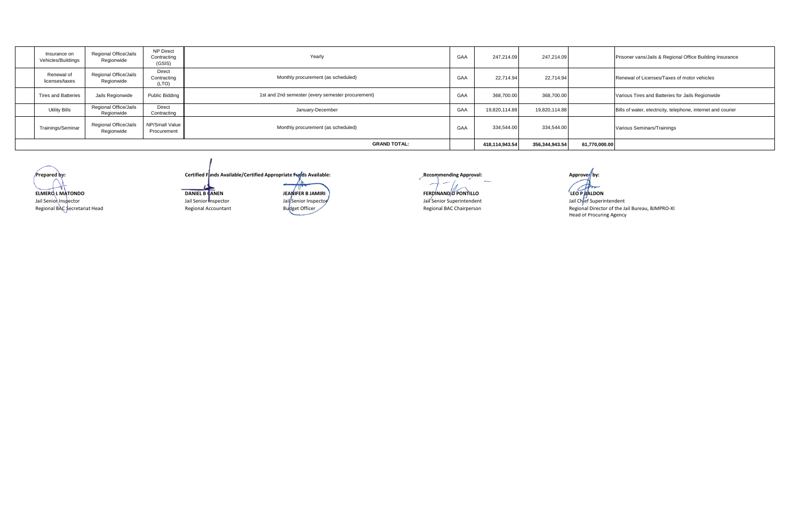| Insurance on<br>Vehicles/Buildings | Regional Office/Jails<br>Regionwide | NP Direct<br>Contracting<br>(GSIS) | Yearly                                            | GAA | 247,214.09     | 247,214.09     |               | Prisoner vans/Jails & Regional Office Building Insurance     |
|------------------------------------|-------------------------------------|------------------------------------|---------------------------------------------------|-----|----------------|----------------|---------------|--------------------------------------------------------------|
| Renewal of<br>licenses/taxes       | Regional Office/Jails<br>Regionwide | Direct<br>Contracting<br>(LTO)     | Monthly procurement (as scheduled)                | GAA | 22,714.94      | 22,714.94      |               | Renewal of Licenses/Taxes of motor vehicles                  |
| <b>Tires and Batteries</b>         | Jails Regionwide                    | <b>Public Bidding</b>              | 1st and 2nd semester (every semester procurement) | GAA | 368,700.00     | 368,700.00     |               | Various Tires and Batteries for Jails Regionwide             |
| <b>Utility Bills</b>               | Regional Office/Jails<br>Regionwide | Direct<br>Contracting              | January-December                                  | GAA | 19,820,114.88  | 19,820,114.88  |               | Bills of water, electricity, telephone, internet and courier |
| Trainings/Seminar                  | Regional Office/Jails<br>Regionwide | NP/Small Value<br>Procurement      | Monthly procurement (as scheduled)                | GAA | 334,544.00     | 334,544.00     |               | Various Seminars/Trainings                                   |
|                                    |                                     |                                    | <b>GRAND TOTAL:</b>                               |     | 418,114,943.54 | 356,344,943.54 | 61,770,000.00 |                                                              |

Jail Senior Inspector Regional BAC Secretariat Head

**Prepared by: Certified Funds Available/Certified Appropriate Funds Available: Recommending Approval: Approved by: Approved by: ELMERO L MATONDO DANIEL B CANEN FERDINAND D PONTILLO** Jail Senior Inspector Jail Senior Inspector Jail Senior Superintendent Jail Senior Superintendent Jail Chief Superintendent Jail Chief Superintendent Jail Chief Superintendent Jail Chief Superintendent Regional Birector of

**JEANIFER B JAMIRI**

**LEO P BALDON** 

Regional Accountant **Regional BAC Chairperson Regional Director of the Jail Bureau, BJMPRO-XI**<br>Head of Procuring Agency